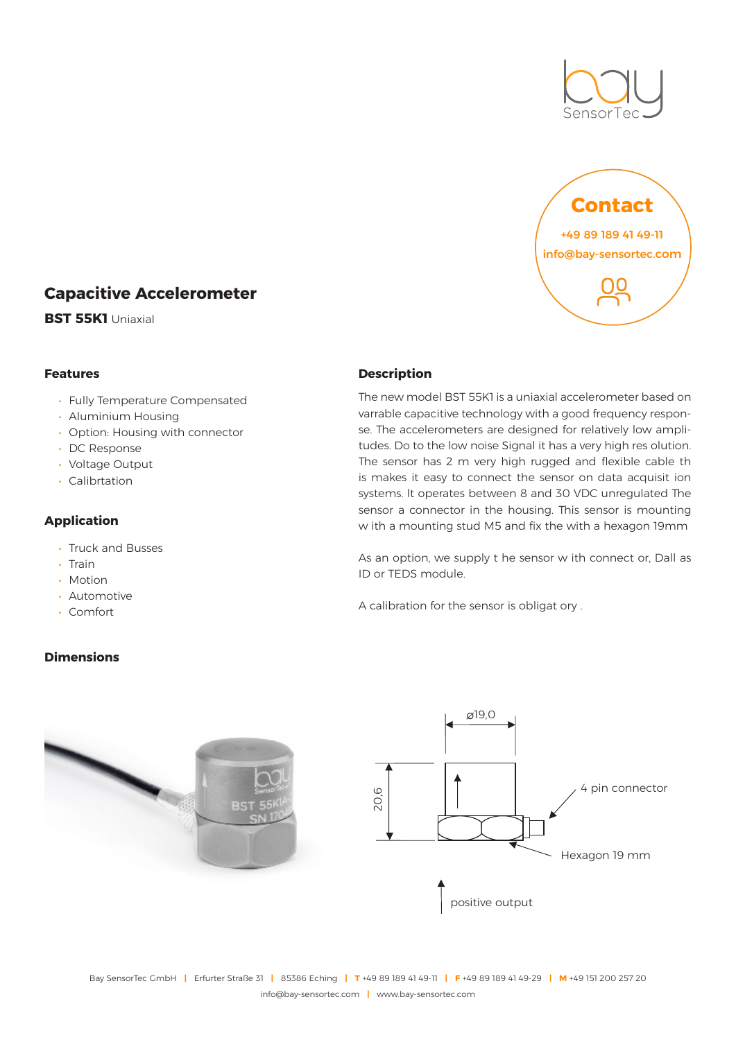



# **Capacitive Accelerometer**

**BST 55K1** Uniaxial

# **Features**

- Fully Temperature Compensated
- Aluminium Housing
- Option: Housing with connector
- DC Response
- Voltage Output
- Calibrtation

## **Application**

- Truck and Busses
- Train
- Motion
- Automotive
- Comfort

# **Dimensions**

#### **Description**

The new model BST 55K1 is a uniaxial accelerometer based on varrable capacitive technology with a good frequency response. The accelerometers are designed for relatively low amplitudes. Do to the low noise Signal it has a very high res olution. The sensor has 2 m very high rugged and flexible cable th is makes it easy to connect the sensor on data acquisit ion systems. lt operates between 8 and 30 VDC unregulated The sensor a connector in the housing. This sensor is mounting w ith a mounting stud M5 and fix the with a hexagon 19mm

As an option, we supply t he sensor w ith connect or, Dall as ID or TEDS module.

A calibration for the sensor is obligat ory .